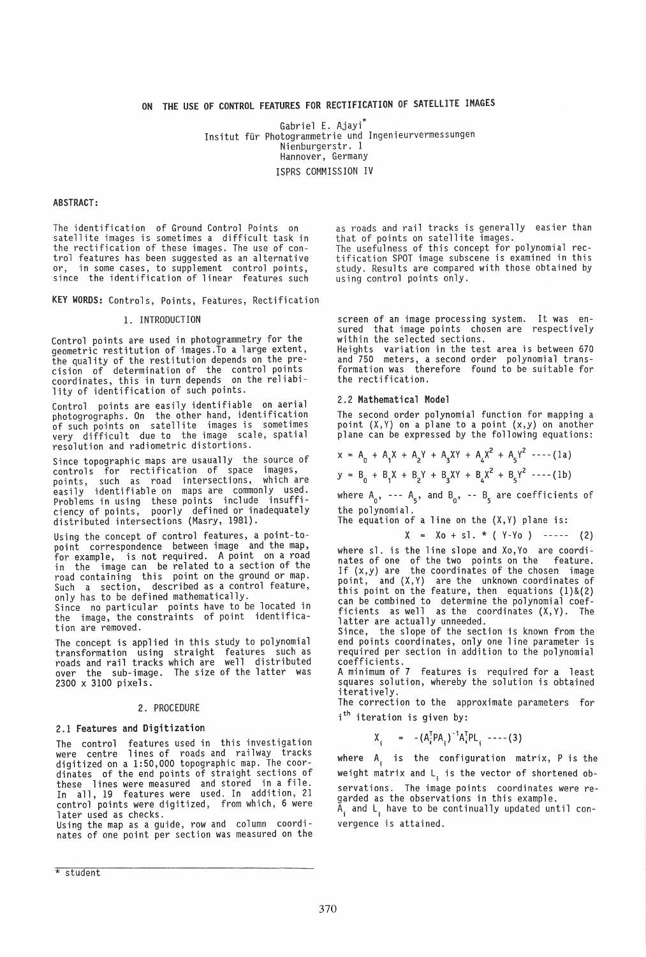# ON THE USE OF CONTROL FEATURES FOR RECTIFICATION OF SATELLITE IMAGES

Gabriel E. Ajayi Insitut für Photogrammetrie und Ingenieurvermessungen Nienburgerstr. 1 Hannover, Germany ISPRS COMMISSION IV

## ABSTRACT:

The identification of Ground Control Points on satellite images is sometimes a difficult task in the rectification of these images. The use of control features has been suggested as an alternative or, in some cases, to supplement control points, since the identification of linear features such

KEY WORDS: Controls, Points, Features, Rectification

## 1. INTRODUCTION

Control points are used in photogrammetry for the geometric restitution of images.To a large extent, the quality of the restitution depends on the pre-<br>cision of determination of the control points cision of determination of the control points<br>coordinates, this in turn depends on the reliability of identification of such points.

Control points are easily identifiable on aerial photogrographs. On the other hand, identification of such points on satellite images is sometimes very difficult due to the image scale, spatial resolution and radiometric distortions.

Since topographic maps are usaually the source of controls for rectification of space images, points, such as road intersections, which are easily identifiable on maps are commonly used. Problems in using these points include insufficiency of points, poorly defined or inadequately distributed intersections (Masry, 1981).

Using the concept of control features, a point-to-<br>point correspondence between image and the map, point correspondence between image and the map,<br>for example, is not required. A point on a road in the image can be related to a section of the road containing this point on the ground or map. Such a section, described as a control feature, only has to be defined mathematically.<br>Since no particular points have to be located in Since no particular points have to be located in<br>the image, the constraints of point identifica-

tion are removed.

The concept is applied in this study to polynomial transformation using straight features such as roads and rail tracks which are well distributed over the sub-image. The size of the latter was 2300 x 3100 pixels.

#### 2. PROCEDURE

#### 2.1 Features and Digitization

The control features used in this investigation were centre lines of roads and railway tracks digitized on a 1:50,000 topographic map. The coordinates of the end points of straight sections of these lines were measured and stored in a file. In all, 19 features were used. In addition, 21 control points were digitized, from which, 6 were later used as checks.

Using the map as a guide, row and column coordinates of one point per section was measured on the

as roads and rail tracks is generally easier than that of points on satellite images. The usefulness of this concept for polynomial rectification SPOT image subscene is examined in this study. Results are compared with those obtained by using control points only.

screen of an image processing system. It was ensured that image points chosen are respectively within the selected sections.

Heights variation in the test area is between 670 and 750 meters, a second order polynomial transformation was therefore found to be suitable for the rectification.

### 2.2 Mathematical Model

The second order polynomial function for mapping a point  $(X, Y)$  on a plane to a point  $(x, y)$  on another plane can be expressed by the following equations:

$$
x = A_0 + A_1 X + A_2 Y + A_3 XY + A_4 X^2 + A_5 Y^2 --- (1a)
$$
  
\n
$$
y = B_0 + B_1 X + B_2 Y + B_3 XY + B_4 X^2 + B_5 Y^2 --- (1b)
$$

where  $A_0$ , ---  $A_5$ , and  $B_0$ , --  $B_5$  are coefficients of the polynomial.

The equation of a line on the  $(X,Y)$  plane is:

 $X = X_0 + s$ , \* (  $Y-Y_0$  ) ----- (2)

where sl. is the line slope and XO,Yo are coordinates of one of the two points on the feature. If  $(x,y)$  are the coordinates of the chosen image point, and  $(X,Y)$  are the unknown coordinates of this point on the feature, then equations (1)&(2) can be combined to determine the polynomial coefficients as well as the coordinates (X,Y). The latter are actually unneeded.

Since, the slope of the section is known from the end points coordinates, only one line parameter is required per section in addition to the polynomial coefficients.

A minimum of 7 features is required for a least squares solution, whereby the solution is obtained iteratively.

The correction to the approximate parameters for i<sup>th</sup> iteration is given by:

 $X_i = -(A_i^T P A_i)^{-1} A_i^T P L_i --- (3)$ 

where  $A_i$  is the configuration matrix, P is the weight matrix and  $L_i$  is the vector of shortened observations. The image points coordinates were regarded as the observations in this example.

 $\tilde{A}_i$  and  $L_i$  have to be continually updated until convergence is attained.